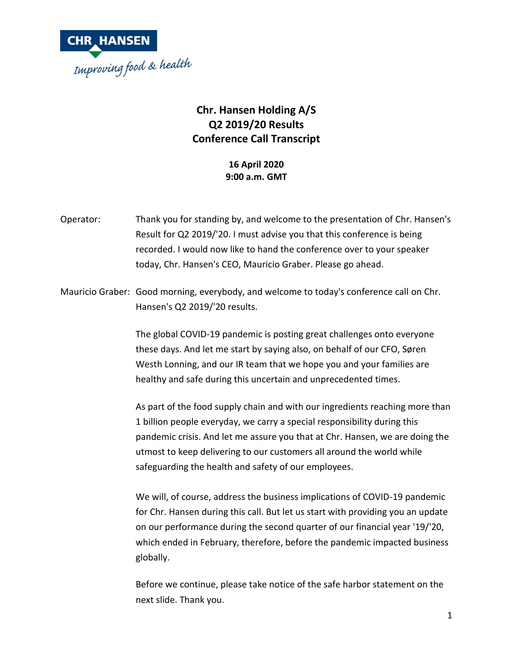

## **Chr. Hansen Holding A/S Q2 2019/20 Results Conference Call Transcript**

**16 April 2020 9:00 a.m. GMT**

- Operator: Thank you for standing by, and welcome to the presentation of Chr. Hansen's Result for Q2 2019/'20. I must advise you that this conference is being recorded. I would now like to hand the conference over to your speaker today, Chr. Hansen's CEO, Mauricio Graber. Please go ahead.
- Mauricio Graber: Good morning, everybody, and welcome to today's conference call on Chr. Hansen's Q2 2019/'20 results.

The global COVID-19 pandemic is posting great challenges onto everyone these days. And let me start by saying also, on behalf of our CFO, Søren Westh Lonning, and our IR team that we hope you and your families are healthy and safe during this uncertain and unprecedented times.

As part of the food supply chain and with our ingredients reaching more than 1 billion people everyday, we carry a special responsibility during this pandemic crisis. And let me assure you that at Chr. Hansen, we are doing the utmost to keep delivering to our customers all around the world while safeguarding the health and safety of our employees.

We will, of course, address the business implications of COVID-19 pandemic for Chr. Hansen during this call. But let us start with providing you an update on our performance during the second quarter of our financial year '19/'20, which ended in February, therefore, before the pandemic impacted business globally.

Before we continue, please take notice of the safe harbor statement on the next slide. Thank you.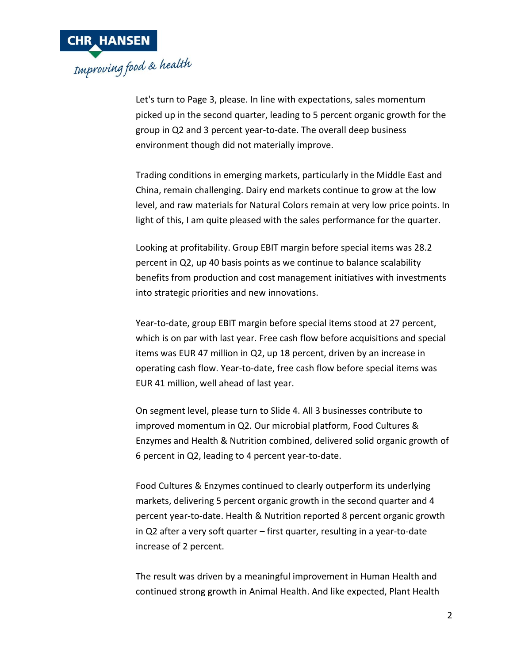

Let's turn to Page 3, please. In line with expectations, sales momentum picked up in the second quarter, leading to 5 percent organic growth for the group in Q2 and 3 percent year-to-date. The overall deep business environment though did not materially improve.

Trading conditions in emerging markets, particularly in the Middle East and China, remain challenging. Dairy end markets continue to grow at the low level, and raw materials for Natural Colors remain at very low price points. In light of this, I am quite pleased with the sales performance for the quarter.

Looking at profitability. Group EBIT margin before special items was 28.2 percent in Q2, up 40 basis points as we continue to balance scalability benefits from production and cost management initiatives with investments into strategic priorities and new innovations.

Year-to-date, group EBIT margin before special items stood at 27 percent, which is on par with last year. Free cash flow before acquisitions and special items was EUR 47 million in Q2, up 18 percent, driven by an increase in operating cash flow. Year-to-date, free cash flow before special items was EUR 41 million, well ahead of last year.

On segment level, please turn to Slide 4. All 3 businesses contribute to improved momentum in Q2. Our microbial platform, Food Cultures & Enzymes and Health & Nutrition combined, delivered solid organic growth of 6 percent in Q2, leading to 4 percent year-to-date.

Food Cultures & Enzymes continued to clearly outperform its underlying markets, delivering 5 percent organic growth in the second quarter and 4 percent year-to-date. Health & Nutrition reported 8 percent organic growth in Q2 after a very soft quarter – first quarter, resulting in a year-to-date increase of 2 percent.

The result was driven by a meaningful improvement in Human Health and continued strong growth in Animal Health. And like expected, Plant Health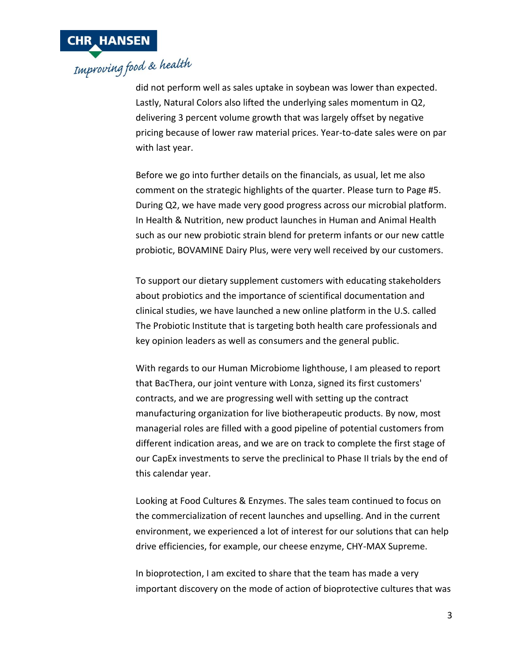

did not perform well as sales uptake in soybean was lower than expected. Lastly, Natural Colors also lifted the underlying sales momentum in Q2, delivering 3 percent volume growth that was largely offset by negative pricing because of lower raw material prices. Year-to-date sales were on par with last year.

Before we go into further details on the financials, as usual, let me also comment on the strategic highlights of the quarter. Please turn to Page #5. During Q2, we have made very good progress across our microbial platform. In Health & Nutrition, new product launches in Human and Animal Health such as our new probiotic strain blend for preterm infants or our new cattle probiotic, BOVAMINE Dairy Plus, were very well received by our customers.

To support our dietary supplement customers with educating stakeholders about probiotics and the importance of scientifical documentation and clinical studies, we have launched a new online platform in the U.S. called The Probiotic Institute that is targeting both health care professionals and key opinion leaders as well as consumers and the general public.

With regards to our Human Microbiome lighthouse, I am pleased to report that BacThera, our joint venture with Lonza, signed its first customers' contracts, and we are progressing well with setting up the contract manufacturing organization for live biotherapeutic products. By now, most managerial roles are filled with a good pipeline of potential customers from different indication areas, and we are on track to complete the first stage of our CapEx investments to serve the preclinical to Phase II trials by the end of this calendar year.

Looking at Food Cultures & Enzymes. The sales team continued to focus on the commercialization of recent launches and upselling. And in the current environment, we experienced a lot of interest for our solutions that can help drive efficiencies, for example, our cheese enzyme, CHY-MAX Supreme.

In bioprotection, I am excited to share that the team has made a very important discovery on the mode of action of bioprotective cultures that was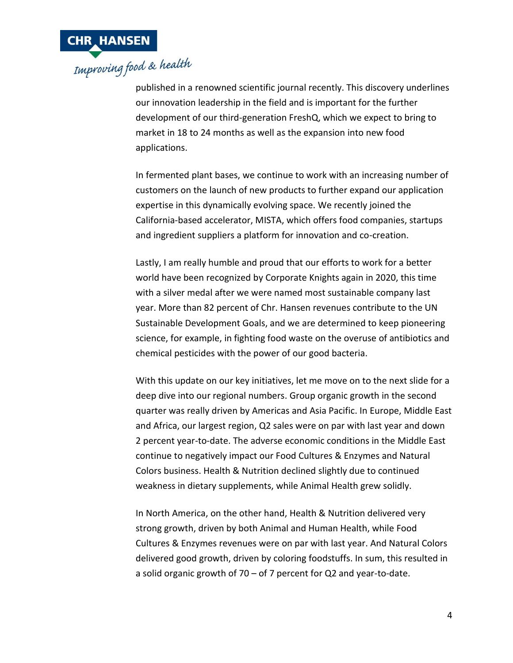

published in a renowned scientific journal recently. This discovery underlines our innovation leadership in the field and is important for the further development of our third-generation FreshQ, which we expect to bring to market in 18 to 24 months as well as the expansion into new food applications.

In fermented plant bases, we continue to work with an increasing number of customers on the launch of new products to further expand our application expertise in this dynamically evolving space. We recently joined the California-based accelerator, MISTA, which offers food companies, startups and ingredient suppliers a platform for innovation and co-creation.

Lastly, I am really humble and proud that our efforts to work for a better world have been recognized by Corporate Knights again in 2020, this time with a silver medal after we were named most sustainable company last year. More than 82 percent of Chr. Hansen revenues contribute to the UN Sustainable Development Goals, and we are determined to keep pioneering science, for example, in fighting food waste on the overuse of antibiotics and chemical pesticides with the power of our good bacteria.

With this update on our key initiatives, let me move on to the next slide for a deep dive into our regional numbers. Group organic growth in the second quarter was really driven by Americas and Asia Pacific. In Europe, Middle East and Africa, our largest region, Q2 sales were on par with last year and down 2 percent year-to-date. The adverse economic conditions in the Middle East continue to negatively impact our Food Cultures & Enzymes and Natural Colors business. Health & Nutrition declined slightly due to continued weakness in dietary supplements, while Animal Health grew solidly.

In North America, on the other hand, Health & Nutrition delivered very strong growth, driven by both Animal and Human Health, while Food Cultures & Enzymes revenues were on par with last year. And Natural Colors delivered good growth, driven by coloring foodstuffs. In sum, this resulted in a solid organic growth of 70 – of 7 percent for Q2 and year-to-date.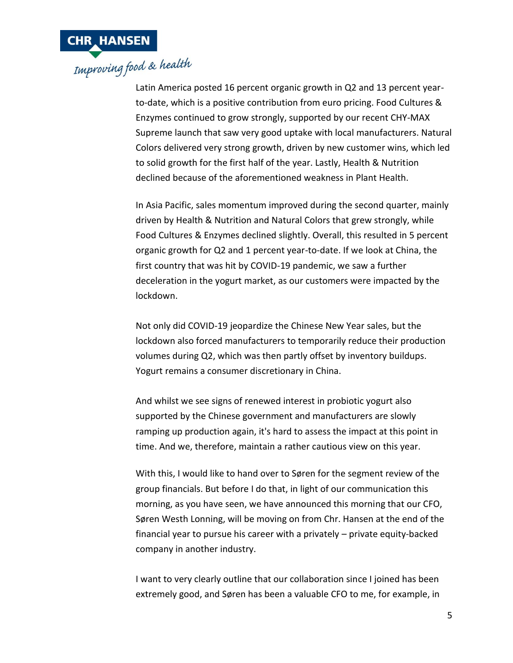

## **CHR HANSEN**<br>Improving food & health

Latin America posted 16 percent organic growth in Q2 and 13 percent yearto-date, which is a positive contribution from euro pricing. Food Cultures & Enzymes continued to grow strongly, supported by our recent CHY-MAX Supreme launch that saw very good uptake with local manufacturers. Natural Colors delivered very strong growth, driven by new customer wins, which led to solid growth for the first half of the year. Lastly, Health & Nutrition declined because of the aforementioned weakness in Plant Health.

In Asia Pacific, sales momentum improved during the second quarter, mainly driven by Health & Nutrition and Natural Colors that grew strongly, while Food Cultures & Enzymes declined slightly. Overall, this resulted in 5 percent organic growth for Q2 and 1 percent year-to-date. If we look at China, the first country that was hit by COVID-19 pandemic, we saw a further deceleration in the yogurt market, as our customers were impacted by the lockdown.

Not only did COVID-19 jeopardize the Chinese New Year sales, but the lockdown also forced manufacturers to temporarily reduce their production volumes during Q2, which was then partly offset by inventory buildups. Yogurt remains a consumer discretionary in China.

And whilst we see signs of renewed interest in probiotic yogurt also supported by the Chinese government and manufacturers are slowly ramping up production again, it's hard to assess the impact at this point in time. And we, therefore, maintain a rather cautious view on this year.

With this, I would like to hand over to Søren for the segment review of the group financials. But before I do that, in light of our communication this morning, as you have seen, we have announced this morning that our CFO, Søren Westh Lonning, will be moving on from Chr. Hansen at the end of the financial year to pursue his career with a privately – private equity-backed company in another industry.

I want to very clearly outline that our collaboration since I joined has been extremely good, and Søren has been a valuable CFO to me, for example, in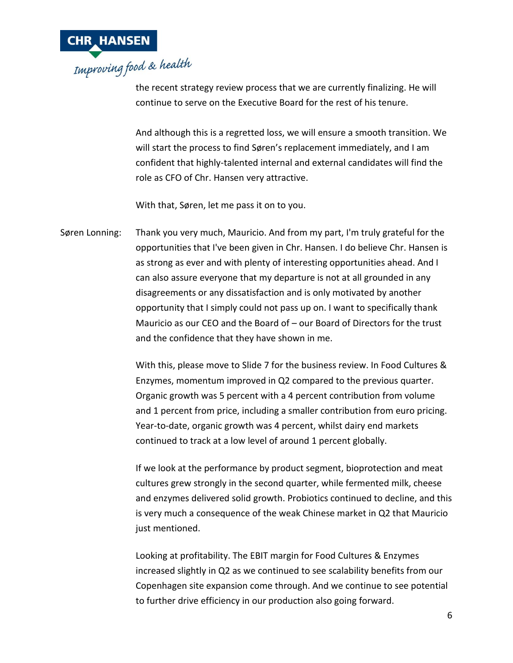

the recent strategy review process that we are currently finalizing. He will continue to serve on the Executive Board for the rest of his tenure.

And although this is a regretted loss, we will ensure a smooth transition. We will start the process to find Søren's replacement immediately, and I am confident that highly-talented internal and external candidates will find the role as CFO of Chr. Hansen very attractive.

With that, Søren, let me pass it on to you.

Søren Lonning: Thank you very much, Mauricio. And from my part, I'm truly grateful for the opportunities that I've been given in Chr. Hansen. I do believe Chr. Hansen is as strong as ever and with plenty of interesting opportunities ahead. And I can also assure everyone that my departure is not at all grounded in any disagreements or any dissatisfaction and is only motivated by another opportunity that I simply could not pass up on. I want to specifically thank Mauricio as our CEO and the Board of – our Board of Directors for the trust and the confidence that they have shown in me.

> With this, please move to Slide 7 for the business review. In Food Cultures & Enzymes, momentum improved in Q2 compared to the previous quarter. Organic growth was 5 percent with a 4 percent contribution from volume and 1 percent from price, including a smaller contribution from euro pricing. Year-to-date, organic growth was 4 percent, whilst dairy end markets continued to track at a low level of around 1 percent globally.

If we look at the performance by product segment, bioprotection and meat cultures grew strongly in the second quarter, while fermented milk, cheese and enzymes delivered solid growth. Probiotics continued to decline, and this is very much a consequence of the weak Chinese market in Q2 that Mauricio just mentioned.

Looking at profitability. The EBIT margin for Food Cultures & Enzymes increased slightly in Q2 as we continued to see scalability benefits from our Copenhagen site expansion come through. And we continue to see potential to further drive efficiency in our production also going forward.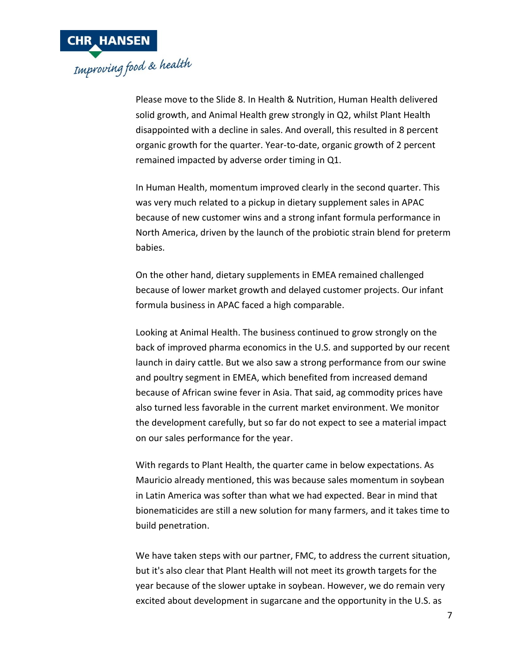

Please move to the Slide 8. In Health & Nutrition, Human Health delivered solid growth, and Animal Health grew strongly in Q2, whilst Plant Health disappointed with a decline in sales. And overall, this resulted in 8 percent organic growth for the quarter. Year-to-date, organic growth of 2 percent remained impacted by adverse order timing in Q1.

In Human Health, momentum improved clearly in the second quarter. This was very much related to a pickup in dietary supplement sales in APAC because of new customer wins and a strong infant formula performance in North America, driven by the launch of the probiotic strain blend for preterm babies.

On the other hand, dietary supplements in EMEA remained challenged because of lower market growth and delayed customer projects. Our infant formula business in APAC faced a high comparable.

Looking at Animal Health. The business continued to grow strongly on the back of improved pharma economics in the U.S. and supported by our recent launch in dairy cattle. But we also saw a strong performance from our swine and poultry segment in EMEA, which benefited from increased demand because of African swine fever in Asia. That said, ag commodity prices have also turned less favorable in the current market environment. We monitor the development carefully, but so far do not expect to see a material impact on our sales performance for the year.

With regards to Plant Health, the quarter came in below expectations. As Mauricio already mentioned, this was because sales momentum in soybean in Latin America was softer than what we had expected. Bear in mind that bionematicides are still a new solution for many farmers, and it takes time to build penetration.

We have taken steps with our partner, FMC, to address the current situation, but it's also clear that Plant Health will not meet its growth targets for the year because of the slower uptake in soybean. However, we do remain very excited about development in sugarcane and the opportunity in the U.S. as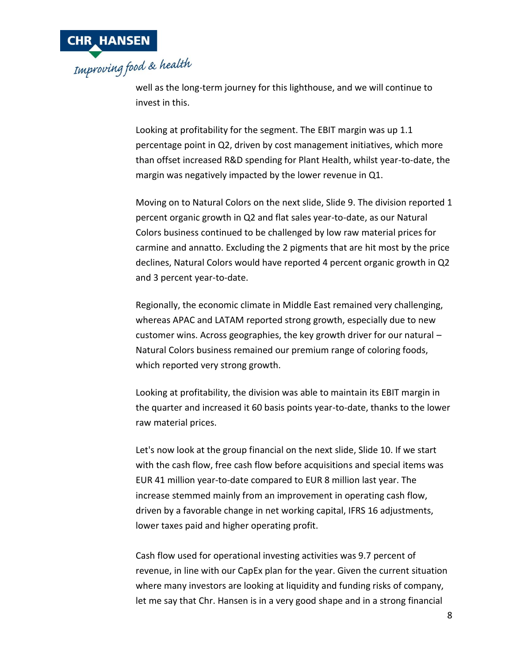

well as the long-term journey for this lighthouse, and we will continue to invest in this.

Looking at profitability for the segment. The EBIT margin was up 1.1 percentage point in Q2, driven by cost management initiatives, which more than offset increased R&D spending for Plant Health, whilst year-to-date, the margin was negatively impacted by the lower revenue in Q1.

Moving on to Natural Colors on the next slide, Slide 9. The division reported 1 percent organic growth in Q2 and flat sales year-to-date, as our Natural Colors business continued to be challenged by low raw material prices for carmine and annatto. Excluding the 2 pigments that are hit most by the price declines, Natural Colors would have reported 4 percent organic growth in Q2 and 3 percent year-to-date.

Regionally, the economic climate in Middle East remained very challenging, whereas APAC and LATAM reported strong growth, especially due to new customer wins. Across geographies, the key growth driver for our natural – Natural Colors business remained our premium range of coloring foods, which reported very strong growth.

Looking at profitability, the division was able to maintain its EBIT margin in the quarter and increased it 60 basis points year-to-date, thanks to the lower raw material prices.

Let's now look at the group financial on the next slide, Slide 10. If we start with the cash flow, free cash flow before acquisitions and special items was EUR 41 million year-to-date compared to EUR 8 million last year. The increase stemmed mainly from an improvement in operating cash flow, driven by a favorable change in net working capital, IFRS 16 adjustments, lower taxes paid and higher operating profit.

Cash flow used for operational investing activities was 9.7 percent of revenue, in line with our CapEx plan for the year. Given the current situation where many investors are looking at liquidity and funding risks of company, let me say that Chr. Hansen is in a very good shape and in a strong financial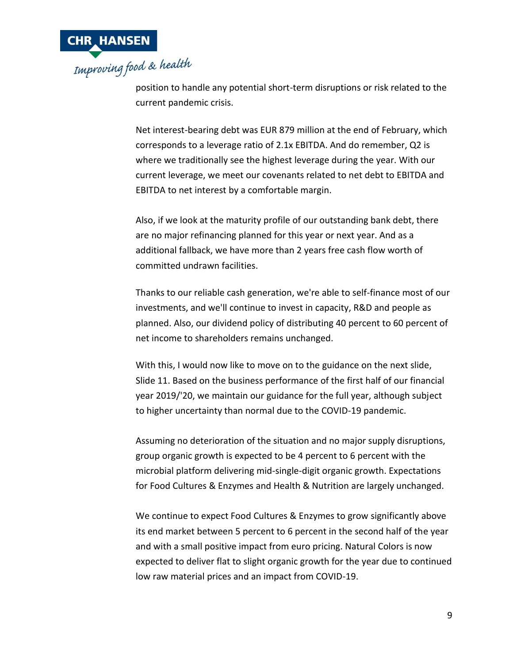

position to handle any potential short-term disruptions or risk related to the current pandemic crisis.

Net interest-bearing debt was EUR 879 million at the end of February, which corresponds to a leverage ratio of 2.1x EBITDA. And do remember, Q2 is where we traditionally see the highest leverage during the year. With our current leverage, we meet our covenants related to net debt to EBITDA and EBITDA to net interest by a comfortable margin.

Also, if we look at the maturity profile of our outstanding bank debt, there are no major refinancing planned for this year or next year. And as a additional fallback, we have more than 2 years free cash flow worth of committed undrawn facilities.

Thanks to our reliable cash generation, we're able to self-finance most of our investments, and we'll continue to invest in capacity, R&D and people as planned. Also, our dividend policy of distributing 40 percent to 60 percent of net income to shareholders remains unchanged.

With this, I would now like to move on to the guidance on the next slide, Slide 11. Based on the business performance of the first half of our financial year 2019/'20, we maintain our guidance for the full year, although subject to higher uncertainty than normal due to the COVID-19 pandemic.

Assuming no deterioration of the situation and no major supply disruptions, group organic growth is expected to be 4 percent to 6 percent with the microbial platform delivering mid-single-digit organic growth. Expectations for Food Cultures & Enzymes and Health & Nutrition are largely unchanged.

We continue to expect Food Cultures & Enzymes to grow significantly above its end market between 5 percent to 6 percent in the second half of the year and with a small positive impact from euro pricing. Natural Colors is now expected to deliver flat to slight organic growth for the year due to continued low raw material prices and an impact from COVID-19.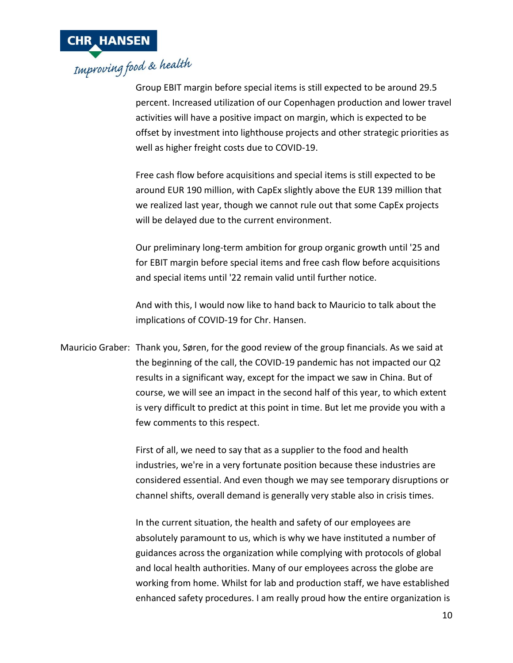

Group EBIT margin before special items is still expected to be around 29.5 percent. Increased utilization of our Copenhagen production and lower travel activities will have a positive impact on margin, which is expected to be offset by investment into lighthouse projects and other strategic priorities as well as higher freight costs due to COVID-19.

Free cash flow before acquisitions and special items is still expected to be around EUR 190 million, with CapEx slightly above the EUR 139 million that we realized last year, though we cannot rule out that some CapEx projects will be delayed due to the current environment.

Our preliminary long-term ambition for group organic growth until '25 and for EBIT margin before special items and free cash flow before acquisitions and special items until '22 remain valid until further notice.

And with this, I would now like to hand back to Mauricio to talk about the implications of COVID-19 for Chr. Hansen.

Mauricio Graber: Thank you, Søren, for the good review of the group financials. As we said at the beginning of the call, the COVID-19 pandemic has not impacted our Q2 results in a significant way, except for the impact we saw in China. But of course, we will see an impact in the second half of this year, to which extent is very difficult to predict at this point in time. But let me provide you with a few comments to this respect.

> First of all, we need to say that as a supplier to the food and health industries, we're in a very fortunate position because these industries are considered essential. And even though we may see temporary disruptions or channel shifts, overall demand is generally very stable also in crisis times.

> In the current situation, the health and safety of our employees are absolutely paramount to us, which is why we have instituted a number of guidances across the organization while complying with protocols of global and local health authorities. Many of our employees across the globe are working from home. Whilst for lab and production staff, we have established enhanced safety procedures. I am really proud how the entire organization is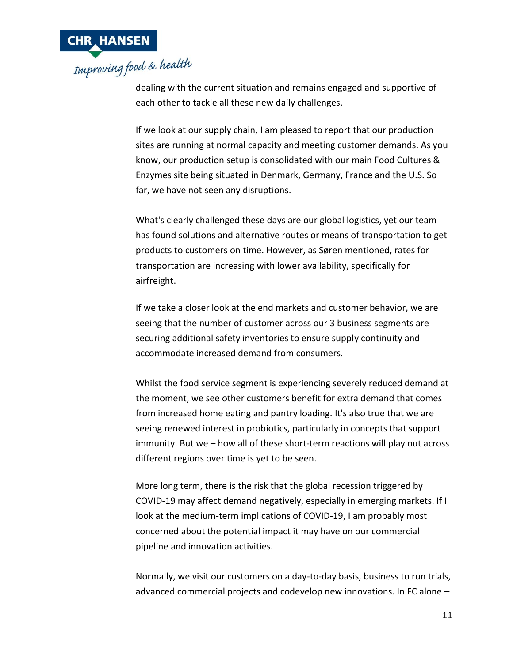

dealing with the current situation and remains engaged and supportive of each other to tackle all these new daily challenges.

If we look at our supply chain, I am pleased to report that our production sites are running at normal capacity and meeting customer demands. As you know, our production setup is consolidated with our main Food Cultures & Enzymes site being situated in Denmark, Germany, France and the U.S. So far, we have not seen any disruptions.

What's clearly challenged these days are our global logistics, yet our team has found solutions and alternative routes or means of transportation to get products to customers on time. However, as Søren mentioned, rates for transportation are increasing with lower availability, specifically for airfreight.

If we take a closer look at the end markets and customer behavior, we are seeing that the number of customer across our 3 business segments are securing additional safety inventories to ensure supply continuity and accommodate increased demand from consumers.

Whilst the food service segment is experiencing severely reduced demand at the moment, we see other customers benefit for extra demand that comes from increased home eating and pantry loading. It's also true that we are seeing renewed interest in probiotics, particularly in concepts that support immunity. But we – how all of these short-term reactions will play out across different regions over time is yet to be seen.

More long term, there is the risk that the global recession triggered by COVID-19 may affect demand negatively, especially in emerging markets. If I look at the medium-term implications of COVID-19, I am probably most concerned about the potential impact it may have on our commercial pipeline and innovation activities.

Normally, we visit our customers on a day-to-day basis, business to run trials, advanced commercial projects and codevelop new innovations. In FC alone –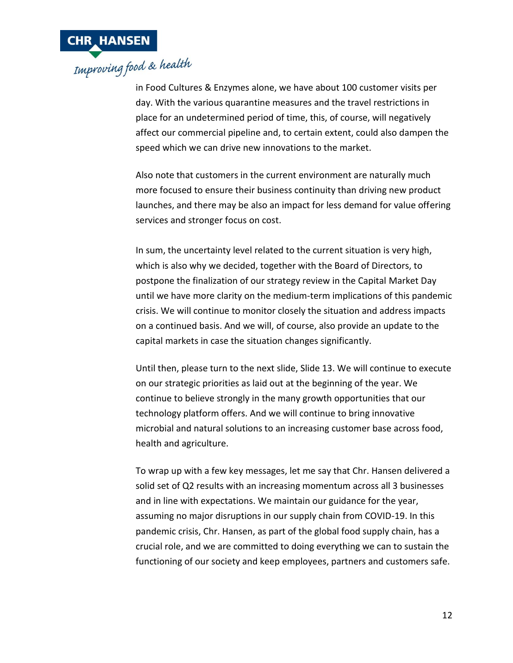

in Food Cultures & Enzymes alone, we have about 100 customer visits per day. With the various quarantine measures and the travel restrictions in place for an undetermined period of time, this, of course, will negatively affect our commercial pipeline and, to certain extent, could also dampen the speed which we can drive new innovations to the market.

Also note that customers in the current environment are naturally much more focused to ensure their business continuity than driving new product launches, and there may be also an impact for less demand for value offering services and stronger focus on cost.

In sum, the uncertainty level related to the current situation is very high, which is also why we decided, together with the Board of Directors, to postpone the finalization of our strategy review in the Capital Market Day until we have more clarity on the medium-term implications of this pandemic crisis. We will continue to monitor closely the situation and address impacts on a continued basis. And we will, of course, also provide an update to the capital markets in case the situation changes significantly.

Until then, please turn to the next slide, Slide 13. We will continue to execute on our strategic priorities as laid out at the beginning of the year. We continue to believe strongly in the many growth opportunities that our technology platform offers. And we will continue to bring innovative microbial and natural solutions to an increasing customer base across food, health and agriculture.

To wrap up with a few key messages, let me say that Chr. Hansen delivered a solid set of Q2 results with an increasing momentum across all 3 businesses and in line with expectations. We maintain our guidance for the year, assuming no major disruptions in our supply chain from COVID-19. In this pandemic crisis, Chr. Hansen, as part of the global food supply chain, has a crucial role, and we are committed to doing everything we can to sustain the functioning of our society and keep employees, partners and customers safe.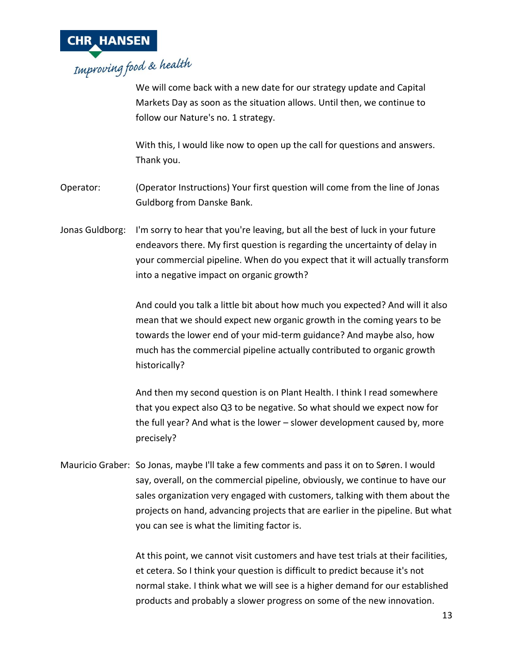

We will come back with a new date for our strategy update and Capital Markets Day as soon as the situation allows. Until then, we continue to follow our Nature's no. 1 strategy.

With this, I would like now to open up the call for questions and answers. Thank you.

Operator: (Operator Instructions) Your first question will come from the line of Jonas Guldborg from Danske Bank.

Jonas Guldborg: I'm sorry to hear that you're leaving, but all the best of luck in your future endeavors there. My first question is regarding the uncertainty of delay in your commercial pipeline. When do you expect that it will actually transform into a negative impact on organic growth?

> And could you talk a little bit about how much you expected? And will it also mean that we should expect new organic growth in the coming years to be towards the lower end of your mid-term guidance? And maybe also, how much has the commercial pipeline actually contributed to organic growth historically?

And then my second question is on Plant Health. I think I read somewhere that you expect also Q3 to be negative. So what should we expect now for the full year? And what is the lower – slower development caused by, more precisely?

Mauricio Graber: So Jonas, maybe I'll take a few comments and pass it on to Søren. I would say, overall, on the commercial pipeline, obviously, we continue to have our sales organization very engaged with customers, talking with them about the projects on hand, advancing projects that are earlier in the pipeline. But what you can see is what the limiting factor is.

> At this point, we cannot visit customers and have test trials at their facilities, et cetera. So I think your question is difficult to predict because it's not normal stake. I think what we will see is a higher demand for our established products and probably a slower progress on some of the new innovation.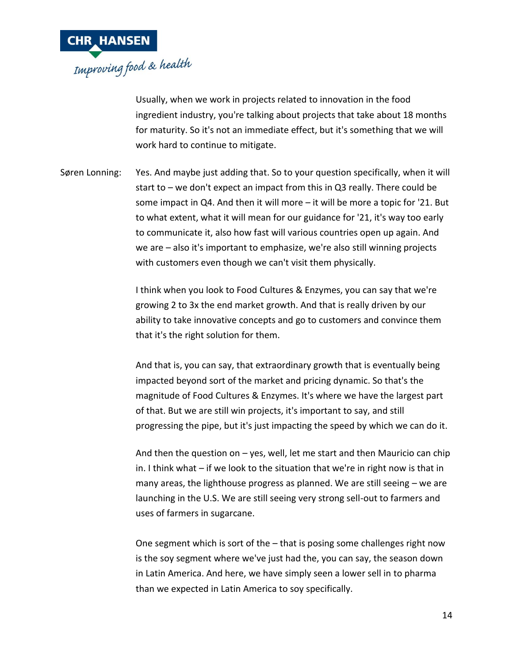

Usually, when we work in projects related to innovation in the food ingredient industry, you're talking about projects that take about 18 months for maturity. So it's not an immediate effect, but it's something that we will work hard to continue to mitigate.

Søren Lonning: Yes. And maybe just adding that. So to your question specifically, when it will start to – we don't expect an impact from this in Q3 really. There could be some impact in Q4. And then it will more – it will be more a topic for '21. But to what extent, what it will mean for our guidance for '21, it's way too early to communicate it, also how fast will various countries open up again. And we are – also it's important to emphasize, we're also still winning projects with customers even though we can't visit them physically.

> I think when you look to Food Cultures & Enzymes, you can say that we're growing 2 to 3x the end market growth. And that is really driven by our ability to take innovative concepts and go to customers and convince them that it's the right solution for them.

And that is, you can say, that extraordinary growth that is eventually being impacted beyond sort of the market and pricing dynamic. So that's the magnitude of Food Cultures & Enzymes. It's where we have the largest part of that. But we are still win projects, it's important to say, and still progressing the pipe, but it's just impacting the speed by which we can do it.

And then the question on  $-$  yes, well, let me start and then Mauricio can chip in. I think what – if we look to the situation that we're in right now is that in many areas, the lighthouse progress as planned. We are still seeing – we are launching in the U.S. We are still seeing very strong sell-out to farmers and uses of farmers in sugarcane.

One segment which is sort of the – that is posing some challenges right now is the soy segment where we've just had the, you can say, the season down in Latin America. And here, we have simply seen a lower sell in to pharma than we expected in Latin America to soy specifically.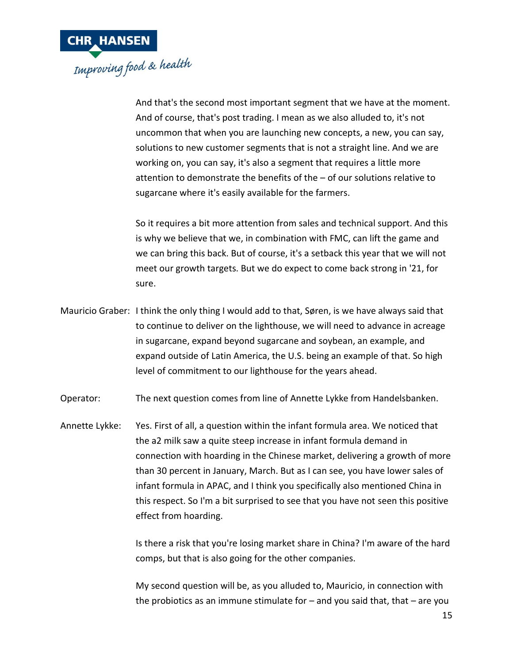

And that's the second most important segment that we have at the moment. And of course, that's post trading. I mean as we also alluded to, it's not uncommon that when you are launching new concepts, a new, you can say, solutions to new customer segments that is not a straight line. And we are working on, you can say, it's also a segment that requires a little more attention to demonstrate the benefits of the – of our solutions relative to sugarcane where it's easily available for the farmers.

So it requires a bit more attention from sales and technical support. And this is why we believe that we, in combination with FMC, can lift the game and we can bring this back. But of course, it's a setback this year that we will not meet our growth targets. But we do expect to come back strong in '21, for sure.

Mauricio Graber: I think the only thing I would add to that, Søren, is we have always said that to continue to deliver on the lighthouse, we will need to advance in acreage in sugarcane, expand beyond sugarcane and soybean, an example, and expand outside of Latin America, the U.S. being an example of that. So high level of commitment to our lighthouse for the years ahead.

Operator: The next question comes from line of Annette Lykke from Handelsbanken.

Annette Lykke: Yes. First of all, a question within the infant formula area. We noticed that the a2 milk saw a quite steep increase in infant formula demand in connection with hoarding in the Chinese market, delivering a growth of more than 30 percent in January, March. But as I can see, you have lower sales of infant formula in APAC, and I think you specifically also mentioned China in this respect. So I'm a bit surprised to see that you have not seen this positive effect from hoarding.

> Is there a risk that you're losing market share in China? I'm aware of the hard comps, but that is also going for the other companies.

> My second question will be, as you alluded to, Mauricio, in connection with the probiotics as an immune stimulate for  $-$  and you said that, that  $-$  are you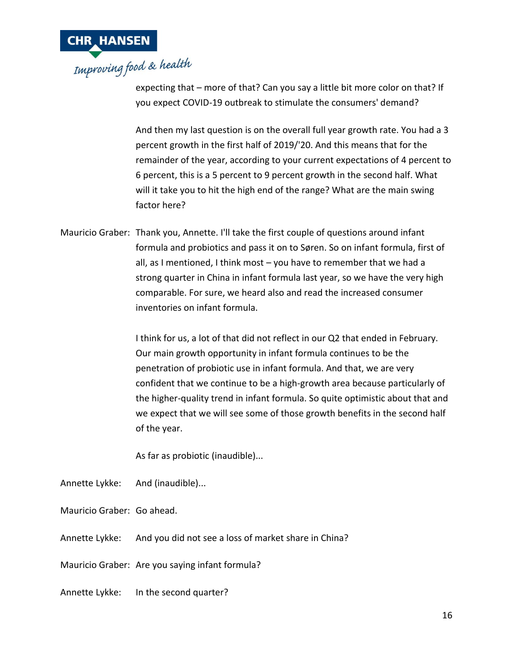

expecting that – more of that? Can you say a little bit more color on that? If you expect COVID-19 outbreak to stimulate the consumers' demand?

And then my last question is on the overall full year growth rate. You had a 3 percent growth in the first half of 2019/'20. And this means that for the remainder of the year, according to your current expectations of 4 percent to 6 percent, this is a 5 percent to 9 percent growth in the second half. What will it take you to hit the high end of the range? What are the main swing factor here?

Mauricio Graber: Thank you, Annette. I'll take the first couple of questions around infant formula and probiotics and pass it on to Søren. So on infant formula, first of all, as I mentioned, I think most – you have to remember that we had a strong quarter in China in infant formula last year, so we have the very high comparable. For sure, we heard also and read the increased consumer inventories on infant formula.

> I think for us, a lot of that did not reflect in our Q2 that ended in February. Our main growth opportunity in infant formula continues to be the penetration of probiotic use in infant formula. And that, we are very confident that we continue to be a high-growth area because particularly of the higher-quality trend in infant formula. So quite optimistic about that and we expect that we will see some of those growth benefits in the second half of the year.

As far as probiotic (inaudible)...

- Annette Lykke: And (inaudible)...
- Mauricio Graber: Go ahead.
- Annette Lykke: And you did not see a loss of market share in China?
- Mauricio Graber: Are you saying infant formula?
- Annette Lykke: In the second quarter?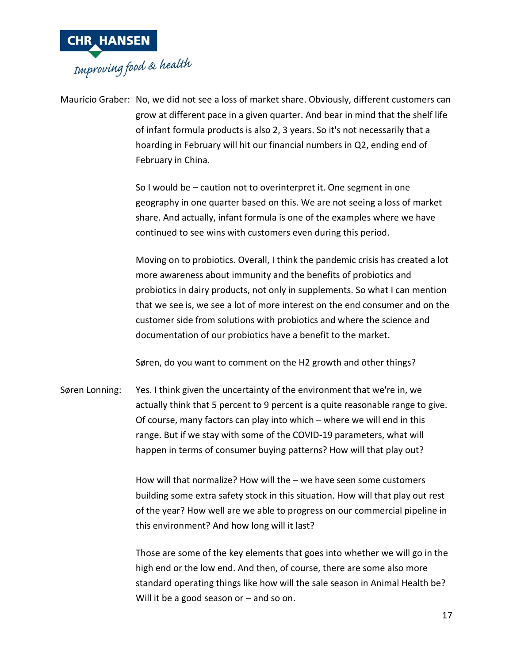

Mauricio Graber: No, we did not see a loss of market share. Obviously, different customers can grow at different pace in a given quarter. And bear in mind that the shelf life of infant formula products is also 2, 3 years. So it's not necessarily that a hoarding in February will hit our financial numbers in Q2, ending end of February in China.

> So I would be – caution not to overinterpret it. One segment in one geography in one quarter based on this. We are not seeing a loss of market share. And actually, infant formula is one of the examples where we have continued to see wins with customers even during this period.

Moving on to probiotics. Overall, I think the pandemic crisis has created a lot more awareness about immunity and the benefits of probiotics and probiotics in dairy products, not only in supplements. So what I can mention that we see is, we see a lot of more interest on the end consumer and on the customer side from solutions with probiotics and where the science and documentation of our probiotics have a benefit to the market.

Søren, do you want to comment on the H2 growth and other things?

Søren Lonning: Yes. I think given the uncertainty of the environment that we're in, we actually think that 5 percent to 9 percent is a quite reasonable range to give. Of course, many factors can play into which – where we will end in this range. But if we stay with some of the COVID-19 parameters, what will happen in terms of consumer buying patterns? How will that play out?

> How will that normalize? How will the – we have seen some customers building some extra safety stock in this situation. How will that play out rest of the year? How well are we able to progress on our commercial pipeline in this environment? And how long will it last?

> Those are some of the key elements that goes into whether we will go in the high end or the low end. And then, of course, there are some also more standard operating things like how will the sale season in Animal Health be? Will it be a good season or  $-$  and so on.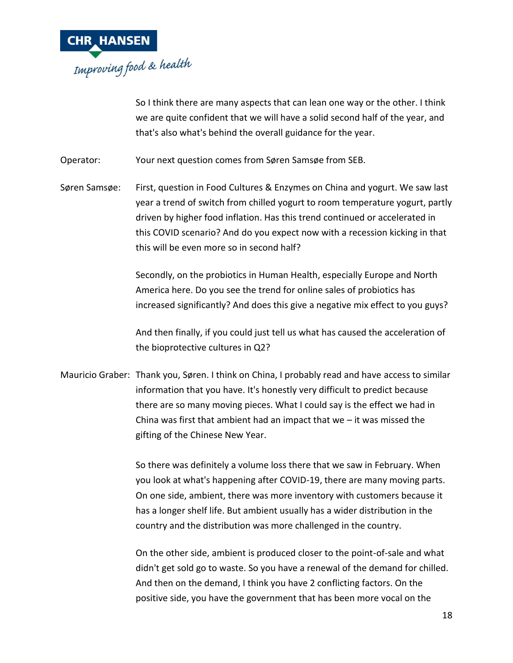

So I think there are many aspects that can lean one way or the other. I think we are quite confident that we will have a solid second half of the year, and that's also what's behind the overall guidance for the year.

Operator: Your next question comes from Søren Samsøe from SEB.

Søren Samsøe: First, question in Food Cultures & Enzymes on China and yogurt. We saw last year a trend of switch from chilled yogurt to room temperature yogurt, partly driven by higher food inflation. Has this trend continued or accelerated in this COVID scenario? And do you expect now with a recession kicking in that this will be even more so in second half?

> Secondly, on the probiotics in Human Health, especially Europe and North America here. Do you see the trend for online sales of probiotics has increased significantly? And does this give a negative mix effect to you guys?

> And then finally, if you could just tell us what has caused the acceleration of the bioprotective cultures in Q2?

Mauricio Graber: Thank you, Søren. I think on China, I probably read and have access to similar information that you have. It's honestly very difficult to predict because there are so many moving pieces. What I could say is the effect we had in China was first that ambient had an impact that we  $-$  it was missed the gifting of the Chinese New Year.

> So there was definitely a volume loss there that we saw in February. When you look at what's happening after COVID-19, there are many moving parts. On one side, ambient, there was more inventory with customers because it has a longer shelf life. But ambient usually has a wider distribution in the country and the distribution was more challenged in the country.

On the other side, ambient is produced closer to the point-of-sale and what didn't get sold go to waste. So you have a renewal of the demand for chilled. And then on the demand, I think you have 2 conflicting factors. On the positive side, you have the government that has been more vocal on the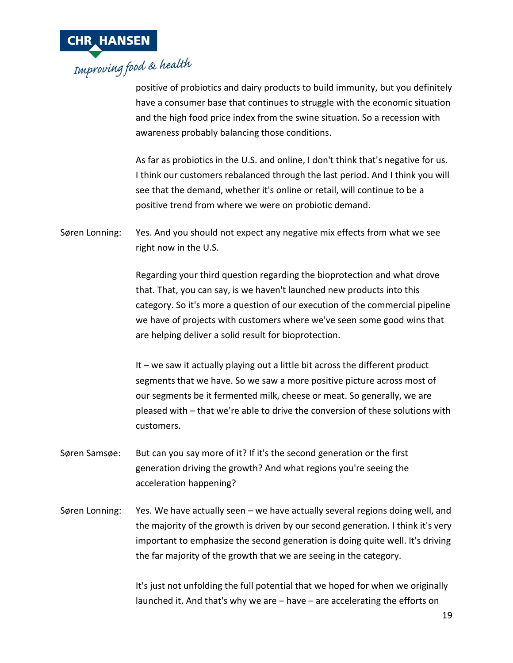

positive of probiotics and dairy products to build immunity, but you definitely have a consumer base that continues to struggle with the economic situation and the high food price index from the swine situation. So a recession with awareness probably balancing those conditions.

As far as probiotics in the U.S. and online, I don't think that's negative for us. I think our customers rebalanced through the last period. And I think you will see that the demand, whether it's online or retail, will continue to be a positive trend from where we were on probiotic demand.

Søren Lonning: Yes. And you should not expect any negative mix effects from what we see right now in the U.S.

> Regarding your third question regarding the bioprotection and what drove that. That, you can say, is we haven't launched new products into this category. So it's more a question of our execution of the commercial pipeline we have of projects with customers where we've seen some good wins that are helping deliver a solid result for bioprotection.

> It – we saw it actually playing out a little bit across the different product segments that we have. So we saw a more positive picture across most of our segments be it fermented milk, cheese or meat. So generally, we are pleased with – that we're able to drive the conversion of these solutions with customers.

- Søren Samsøe: But can you say more of it? If it's the second generation or the first generation driving the growth? And what regions you're seeing the acceleration happening?
- Søren Lonning: Yes. We have actually seen we have actually several regions doing well, and the majority of the growth is driven by our second generation. I think it's very important to emphasize the second generation is doing quite well. It's driving the far majority of the growth that we are seeing in the category.

It's just not unfolding the full potential that we hoped for when we originally launched it. And that's why we are – have – are accelerating the efforts on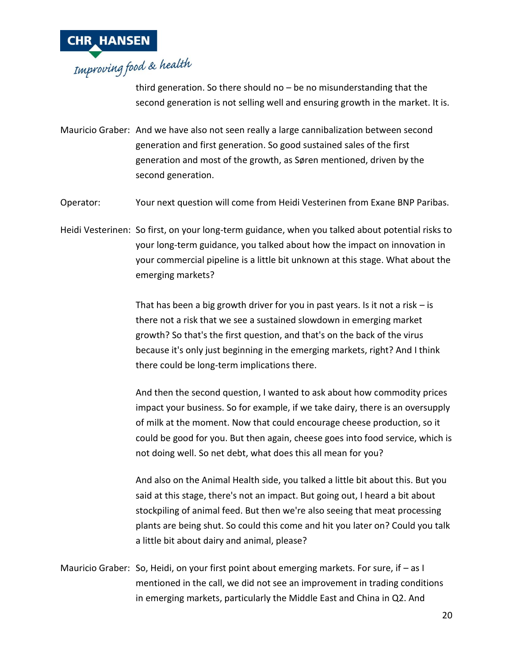

third generation. So there should no – be no misunderstanding that the second generation is not selling well and ensuring growth in the market. It is.

Mauricio Graber: And we have also not seen really a large cannibalization between second generation and first generation. So good sustained sales of the first generation and most of the growth, as Søren mentioned, driven by the second generation.

Operator: Your next question will come from Heidi Vesterinen from Exane BNP Paribas.

Heidi Vesterinen: So first, on your long-term guidance, when you talked about potential risks to your long-term guidance, you talked about how the impact on innovation in your commercial pipeline is a little bit unknown at this stage. What about the emerging markets?

> That has been a big growth driver for you in past years. Is it not a risk  $-$  is there not a risk that we see a sustained slowdown in emerging market growth? So that's the first question, and that's on the back of the virus because it's only just beginning in the emerging markets, right? And I think there could be long-term implications there.

And then the second question, I wanted to ask about how commodity prices impact your business. So for example, if we take dairy, there is an oversupply of milk at the moment. Now that could encourage cheese production, so it could be good for you. But then again, cheese goes into food service, which is not doing well. So net debt, what does this all mean for you?

And also on the Animal Health side, you talked a little bit about this. But you said at this stage, there's not an impact. But going out, I heard a bit about stockpiling of animal feed. But then we're also seeing that meat processing plants are being shut. So could this come and hit you later on? Could you talk a little bit about dairy and animal, please?

Mauricio Graber: So, Heidi, on your first point about emerging markets. For sure, if – as I mentioned in the call, we did not see an improvement in trading conditions in emerging markets, particularly the Middle East and China in Q2. And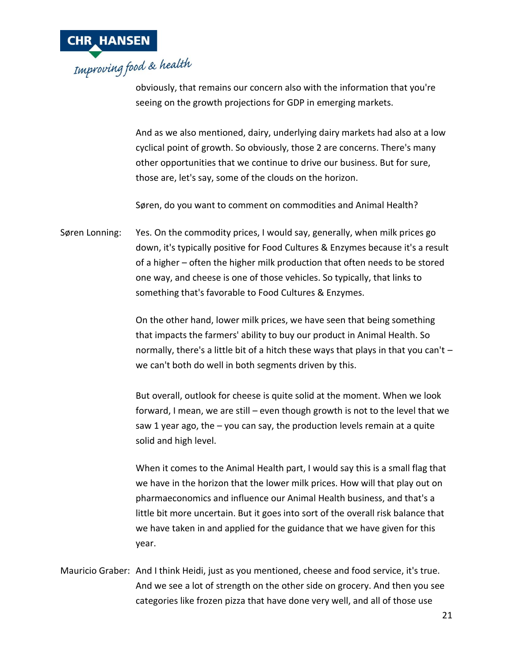

obviously, that remains our concern also with the information that you're seeing on the growth projections for GDP in emerging markets.

And as we also mentioned, dairy, underlying dairy markets had also at a low cyclical point of growth. So obviously, those 2 are concerns. There's many other opportunities that we continue to drive our business. But for sure, those are, let's say, some of the clouds on the horizon.

Søren, do you want to comment on commodities and Animal Health?

Søren Lonning: Yes. On the commodity prices, I would say, generally, when milk prices go down, it's typically positive for Food Cultures & Enzymes because it's a result of a higher – often the higher milk production that often needs to be stored one way, and cheese is one of those vehicles. So typically, that links to something that's favorable to Food Cultures & Enzymes.

> On the other hand, lower milk prices, we have seen that being something that impacts the farmers' ability to buy our product in Animal Health. So normally, there's a little bit of a hitch these ways that plays in that you can't – we can't both do well in both segments driven by this.

> But overall, outlook for cheese is quite solid at the moment. When we look forward, I mean, we are still – even though growth is not to the level that we saw 1 year ago, the  $-$  you can say, the production levels remain at a quite solid and high level.

> When it comes to the Animal Health part, I would say this is a small flag that we have in the horizon that the lower milk prices. How will that play out on pharmaeconomics and influence our Animal Health business, and that's a little bit more uncertain. But it goes into sort of the overall risk balance that we have taken in and applied for the guidance that we have given for this year.

Mauricio Graber: And I think Heidi, just as you mentioned, cheese and food service, it's true. And we see a lot of strength on the other side on grocery. And then you see categories like frozen pizza that have done very well, and all of those use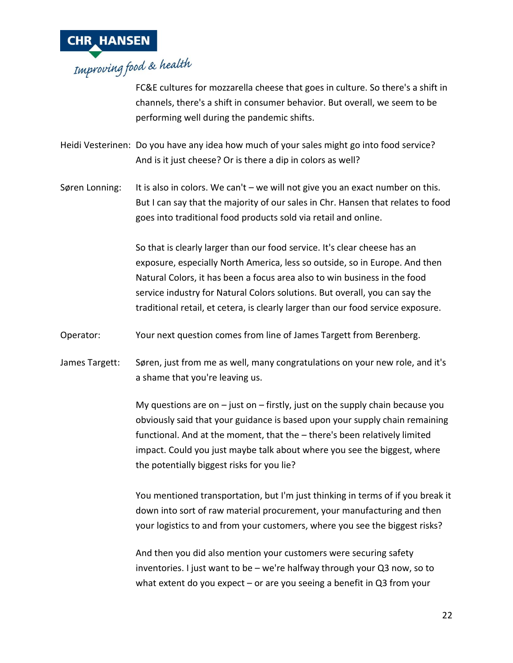

FC&E cultures for mozzarella cheese that goes in culture. So there's a shift in channels, there's a shift in consumer behavior. But overall, we seem to be performing well during the pandemic shifts.

Heidi Vesterinen: Do you have any idea how much of your sales might go into food service? And is it just cheese? Or is there a dip in colors as well?

Søren Lonning: It is also in colors. We can't – we will not give you an exact number on this. But I can say that the majority of our sales in Chr. Hansen that relates to food goes into traditional food products sold via retail and online.

> So that is clearly larger than our food service. It's clear cheese has an exposure, especially North America, less so outside, so in Europe. And then Natural Colors, it has been a focus area also to win business in the food service industry for Natural Colors solutions. But overall, you can say the traditional retail, et cetera, is clearly larger than our food service exposure.

- Operator: Your next question comes from line of James Targett from Berenberg.
- James Targett: Søren, just from me as well, many congratulations on your new role, and it's a shame that you're leaving us.

My questions are on  $-$  just on  $-$  firstly, just on the supply chain because you obviously said that your guidance is based upon your supply chain remaining functional. And at the moment, that the – there's been relatively limited impact. Could you just maybe talk about where you see the biggest, where the potentially biggest risks for you lie?

You mentioned transportation, but I'm just thinking in terms of if you break it down into sort of raw material procurement, your manufacturing and then your logistics to and from your customers, where you see the biggest risks?

And then you did also mention your customers were securing safety inventories. I just want to be – we're halfway through your Q3 now, so to what extent do you expect – or are you seeing a benefit in Q3 from your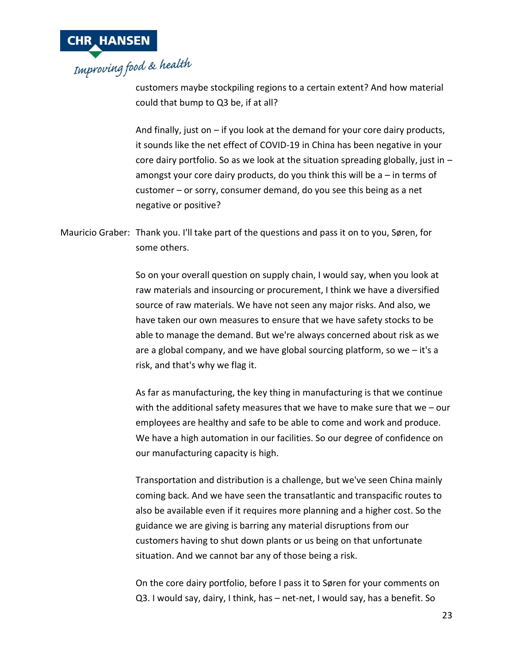

customers maybe stockpiling regions to a certain extent? And how material could that bump to Q3 be, if at all?

And finally, just on – if you look at the demand for your core dairy products, it sounds like the net effect of COVID-19 in China has been negative in your core dairy portfolio. So as we look at the situation spreading globally, just in  $$ amongst your core dairy products, do you think this will be a – in terms of customer – or sorry, consumer demand, do you see this being as a net negative or positive?

Mauricio Graber: Thank you. I'll take part of the questions and pass it on to you, Søren, for some others.

> So on your overall question on supply chain, I would say, when you look at raw materials and insourcing or procurement, I think we have a diversified source of raw materials. We have not seen any major risks. And also, we have taken our own measures to ensure that we have safety stocks to be able to manage the demand. But we're always concerned about risk as we are a global company, and we have global sourcing platform, so we – it's a risk, and that's why we flag it.

As far as manufacturing, the key thing in manufacturing is that we continue with the additional safety measures that we have to make sure that we – our employees are healthy and safe to be able to come and work and produce. We have a high automation in our facilities. So our degree of confidence on our manufacturing capacity is high.

Transportation and distribution is a challenge, but we've seen China mainly coming back. And we have seen the transatlantic and transpacific routes to also be available even if it requires more planning and a higher cost. So the guidance we are giving is barring any material disruptions from our customers having to shut down plants or us being on that unfortunate situation. And we cannot bar any of those being a risk.

On the core dairy portfolio, before I pass it to Søren for your comments on Q3. I would say, dairy, I think, has – net-net, I would say, has a benefit. So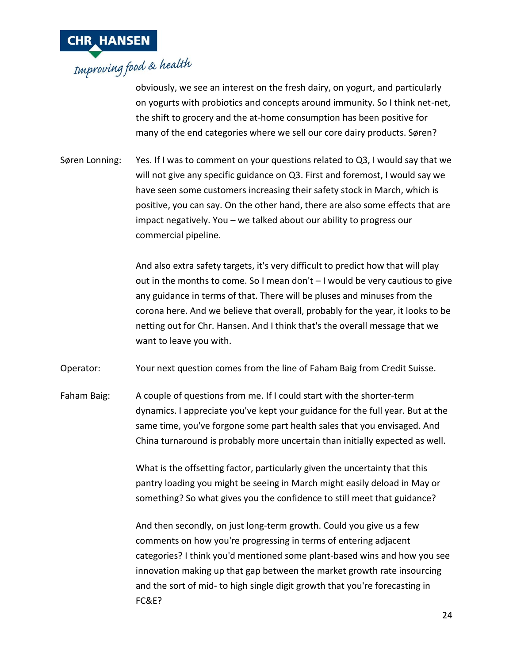

obviously, we see an interest on the fresh dairy, on yogurt, and particularly on yogurts with probiotics and concepts around immunity. So I think net-net, the shift to grocery and the at-home consumption has been positive for many of the end categories where we sell our core dairy products. Søren?

Søren Lonning: Yes. If I was to comment on your questions related to Q3, I would say that we will not give any specific guidance on Q3. First and foremost, I would say we have seen some customers increasing their safety stock in March, which is positive, you can say. On the other hand, there are also some effects that are impact negatively. You – we talked about our ability to progress our commercial pipeline.

> And also extra safety targets, it's very difficult to predict how that will play out in the months to come. So I mean don't – I would be very cautious to give any guidance in terms of that. There will be pluses and minuses from the corona here. And we believe that overall, probably for the year, it looks to be netting out for Chr. Hansen. And I think that's the overall message that we want to leave you with.

Operator: Your next question comes from the line of Faham Baig from Credit Suisse.

Faham Baig: A couple of questions from me. If I could start with the shorter-term dynamics. I appreciate you've kept your guidance for the full year. But at the same time, you've forgone some part health sales that you envisaged. And China turnaround is probably more uncertain than initially expected as well.

> What is the offsetting factor, particularly given the uncertainty that this pantry loading you might be seeing in March might easily deload in May or something? So what gives you the confidence to still meet that guidance?

And then secondly, on just long-term growth. Could you give us a few comments on how you're progressing in terms of entering adjacent categories? I think you'd mentioned some plant-based wins and how you see innovation making up that gap between the market growth rate insourcing and the sort of mid- to high single digit growth that you're forecasting in FC&E?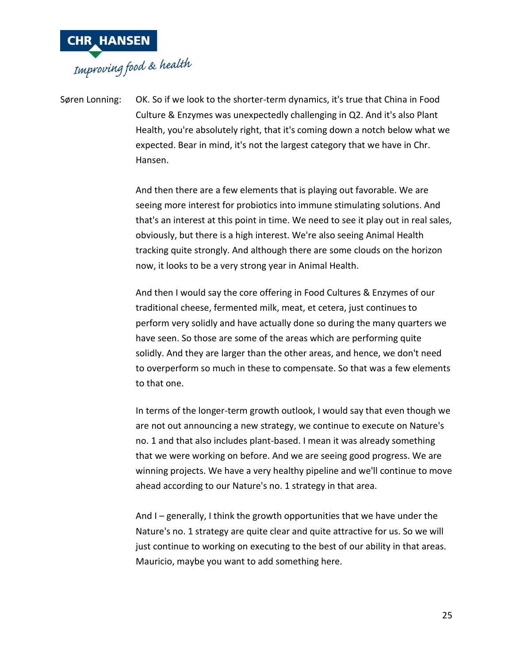

Søren Lonning: OK. So if we look to the shorter-term dynamics, it's true that China in Food Culture & Enzymes was unexpectedly challenging in Q2. And it's also Plant Health, you're absolutely right, that it's coming down a notch below what we expected. Bear in mind, it's not the largest category that we have in Chr. Hansen.

> And then there are a few elements that is playing out favorable. We are seeing more interest for probiotics into immune stimulating solutions. And that's an interest at this point in time. We need to see it play out in real sales, obviously, but there is a high interest. We're also seeing Animal Health tracking quite strongly. And although there are some clouds on the horizon now, it looks to be a very strong year in Animal Health.

> And then I would say the core offering in Food Cultures & Enzymes of our traditional cheese, fermented milk, meat, et cetera, just continues to perform very solidly and have actually done so during the many quarters we have seen. So those are some of the areas which are performing quite solidly. And they are larger than the other areas, and hence, we don't need to overperform so much in these to compensate. So that was a few elements to that one.

> In terms of the longer-term growth outlook, I would say that even though we are not out announcing a new strategy, we continue to execute on Nature's no. 1 and that also includes plant-based. I mean it was already something that we were working on before. And we are seeing good progress. We are winning projects. We have a very healthy pipeline and we'll continue to move ahead according to our Nature's no. 1 strategy in that area.

And I – generally, I think the growth opportunities that we have under the Nature's no. 1 strategy are quite clear and quite attractive for us. So we will just continue to working on executing to the best of our ability in that areas. Mauricio, maybe you want to add something here.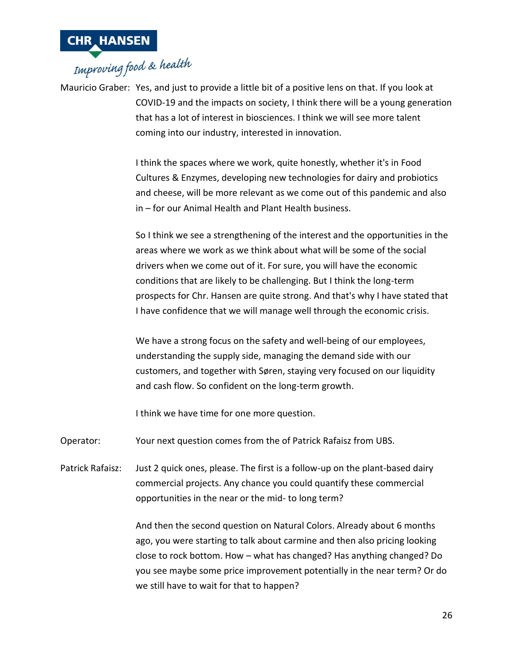

Mauricio Graber: Yes, and just to provide a little bit of a positive lens on that. If you look at COVID-19 and the impacts on society, I think there will be a young generation that has a lot of interest in biosciences. I think we will see more talent coming into our industry, interested in innovation.

> I think the spaces where we work, quite honestly, whether it's in Food Cultures & Enzymes, developing new technologies for dairy and probiotics and cheese, will be more relevant as we come out of this pandemic and also in – for our Animal Health and Plant Health business.

> So I think we see a strengthening of the interest and the opportunities in the areas where we work as we think about what will be some of the social drivers when we come out of it. For sure, you will have the economic conditions that are likely to be challenging. But I think the long-term prospects for Chr. Hansen are quite strong. And that's why I have stated that I have confidence that we will manage well through the economic crisis.

We have a strong focus on the safety and well-being of our employees, understanding the supply side, managing the demand side with our customers, and together with Søren, staying very focused on our liquidity and cash flow. So confident on the long-term growth.

I think we have time for one more question.

Operator: Your next question comes from the of Patrick Rafaisz from UBS.

Patrick Rafaisz: Just 2 quick ones, please. The first is a follow-up on the plant-based dairy commercial projects. Any chance you could quantify these commercial opportunities in the near or the mid- to long term?

> And then the second question on Natural Colors. Already about 6 months ago, you were starting to talk about carmine and then also pricing looking close to rock bottom. How – what has changed? Has anything changed? Do you see maybe some price improvement potentially in the near term? Or do we still have to wait for that to happen?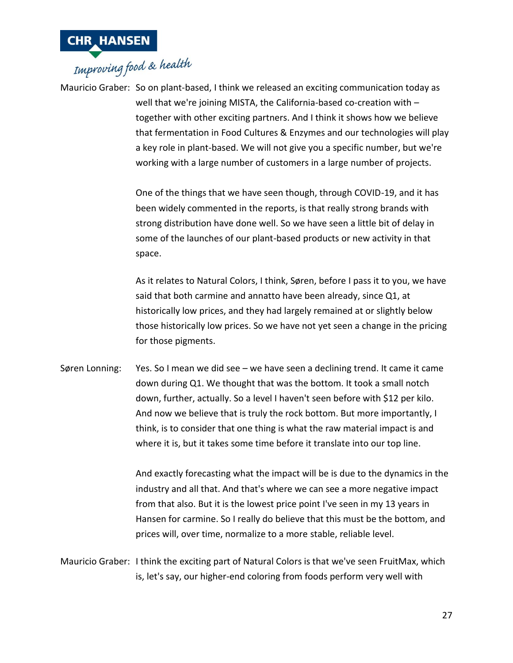

## **CHR HANSEN**<br>Improving food & health

Mauricio Graber: So on plant-based, I think we released an exciting communication today as well that we're joining MISTA, the California-based co-creation with – together with other exciting partners. And I think it shows how we believe that fermentation in Food Cultures & Enzymes and our technologies will play a key role in plant-based. We will not give you a specific number, but we're working with a large number of customers in a large number of projects.

> One of the things that we have seen though, through COVID-19, and it has been widely commented in the reports, is that really strong brands with strong distribution have done well. So we have seen a little bit of delay in some of the launches of our plant-based products or new activity in that space.

As it relates to Natural Colors, I think, Søren, before I pass it to you, we have said that both carmine and annatto have been already, since Q1, at historically low prices, and they had largely remained at or slightly below those historically low prices. So we have not yet seen a change in the pricing for those pigments.

Søren Lonning: Yes. So I mean we did see – we have seen a declining trend. It came it came down during Q1. We thought that was the bottom. It took a small notch down, further, actually. So a level I haven't seen before with \$12 per kilo. And now we believe that is truly the rock bottom. But more importantly, I think, is to consider that one thing is what the raw material impact is and where it is, but it takes some time before it translate into our top line.

> And exactly forecasting what the impact will be is due to the dynamics in the industry and all that. And that's where we can see a more negative impact from that also. But it is the lowest price point I've seen in my 13 years in Hansen for carmine. So I really do believe that this must be the bottom, and prices will, over time, normalize to a more stable, reliable level.

Mauricio Graber: I think the exciting part of Natural Colors is that we've seen FruitMax, which is, let's say, our higher-end coloring from foods perform very well with